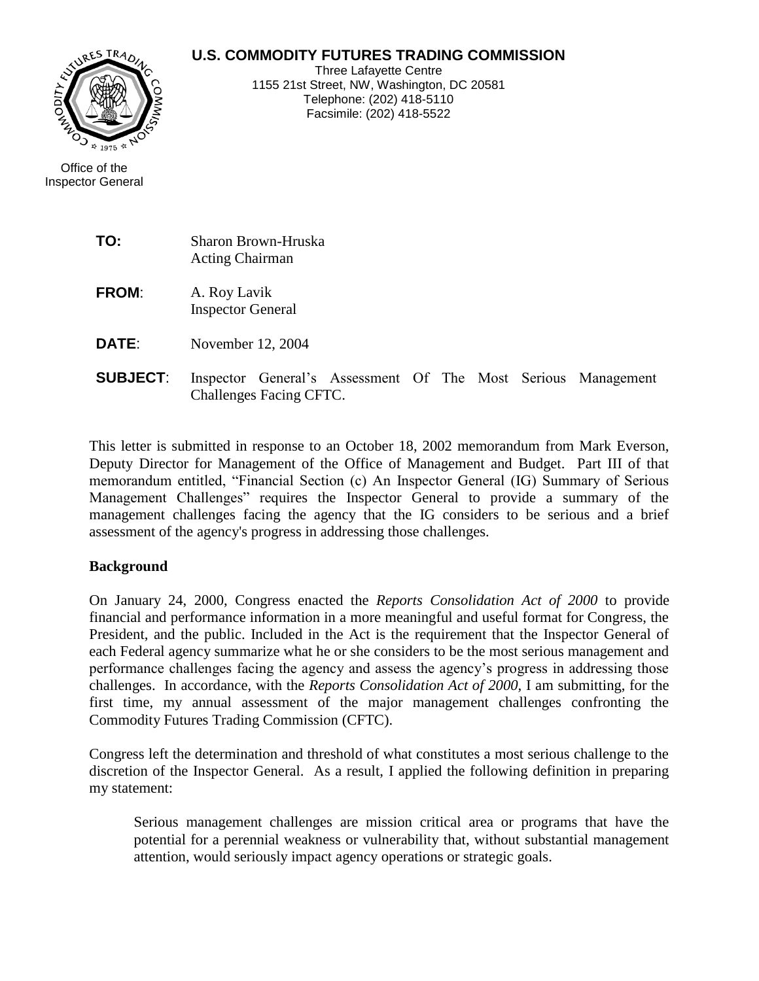# **U.S. COMMODITY FUTURES TRADING COMMISSION**



Three Lafayette Centre 1155 21st Street, NW, Washington, DC 20581 Telephone: (202) 418-5110 Facsimile: (202) 418-5522

| Office of the            |
|--------------------------|
| <b>Inspector General</b> |

| TO:             | Sharon Brown-Hruska<br><b>Acting Chairman</b>                                            |
|-----------------|------------------------------------------------------------------------------------------|
| <b>FROM:</b>    | A. Roy Lavik<br><b>Inspector General</b>                                                 |
| DATE:           | November 12, 2004                                                                        |
| <b>SUBJECT:</b> | Inspector General's Assessment Of The Most Serious Management<br>Challenges Facing CFTC. |

This letter is submitted in response to an October 18, 2002 memorandum from Mark Everson, Deputy Director for Management of the Office of Management and Budget. Part III of that memorandum entitled, "Financial Section (c) An Inspector General (IG) Summary of Serious Management Challenges" requires the Inspector General to provide a summary of the management challenges facing the agency that the IG considers to be serious and a brief assessment of the agency's progress in addressing those challenges.

#### **Background**

On January 24, 2000, Congress enacted the *Reports Consolidation Act of 2000* to provide financial and performance information in a more meaningful and useful format for Congress, the President, and the public. Included in the Act is the requirement that the Inspector General of each Federal agency summarize what he or she considers to be the most serious management and performance challenges facing the agency and assess the agency's progress in addressing those challenges. In accordance, with the *Reports Consolidation Act of 2000,* I am submitting, for the first time, my annual assessment of the major management challenges confronting the Commodity Futures Trading Commission (CFTC).

Congress left the determination and threshold of what constitutes a most serious challenge to the discretion of the Inspector General. As a result, I applied the following definition in preparing my statement:

Serious management challenges are mission critical area or programs that have the potential for a perennial weakness or vulnerability that, without substantial management attention, would seriously impact agency operations or strategic goals.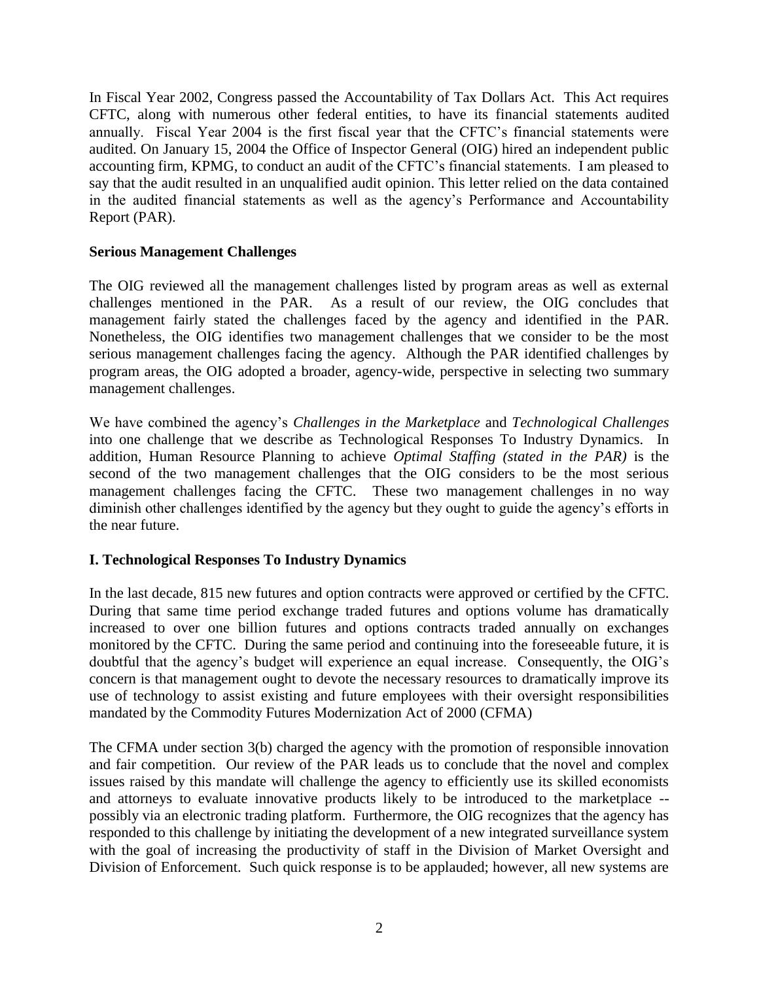In Fiscal Year 2002, Congress passed the Accountability of Tax Dollars Act. This Act requires CFTC, along with numerous other federal entities, to have its financial statements audited annually. Fiscal Year 2004 is the first fiscal year that the CFTC's financial statements were audited. On January 15, 2004 the Office of Inspector General (OIG) hired an independent public accounting firm, KPMG, to conduct an audit of the CFTC's financial statements. I am pleased to say that the audit resulted in an unqualified audit opinion. This letter relied on the data contained in the audited financial statements as well as the agency's Performance and Accountability Report (PAR).

#### **Serious Management Challenges**

The OIG reviewed all the management challenges listed by program areas as well as external challenges mentioned in the PAR. As a result of our review, the OIG concludes that management fairly stated the challenges faced by the agency and identified in the PAR. Nonetheless, the OIG identifies two management challenges that we consider to be the most serious management challenges facing the agency. Although the PAR identified challenges by program areas, the OIG adopted a broader, agency-wide, perspective in selecting two summary management challenges.

We have combined the agency's *Challenges in the Marketplace* and *Technological Challenges* into one challenge that we describe as Technological Responses To Industry Dynamics. In addition, Human Resource Planning to achieve *Optimal Staffing (stated in the PAR)* is the second of the two management challenges that the OIG considers to be the most serious management challenges facing the CFTC. These two management challenges in no way diminish other challenges identified by the agency but they ought to guide the agency's efforts in the near future.

### **I. Technological Responses To Industry Dynamics**

In the last decade, 815 new futures and option contracts were approved or certified by the CFTC. During that same time period exchange traded futures and options volume has dramatically increased to over one billion futures and options contracts traded annually on exchanges monitored by the CFTC. During the same period and continuing into the foreseeable future, it is doubtful that the agency's budget will experience an equal increase. Consequently, the OIG's concern is that management ought to devote the necessary resources to dramatically improve its use of technology to assist existing and future employees with their oversight responsibilities mandated by the Commodity Futures Modernization Act of 2000 (CFMA)

The CFMA under section 3(b) charged the agency with the promotion of responsible innovation and fair competition. Our review of the PAR leads us to conclude that the novel and complex issues raised by this mandate will challenge the agency to efficiently use its skilled economists and attorneys to evaluate innovative products likely to be introduced to the marketplace - possibly via an electronic trading platform. Furthermore, the OIG recognizes that the agency has responded to this challenge by initiating the development of a new integrated surveillance system with the goal of increasing the productivity of staff in the Division of Market Oversight and Division of Enforcement. Such quick response is to be applauded; however, all new systems are